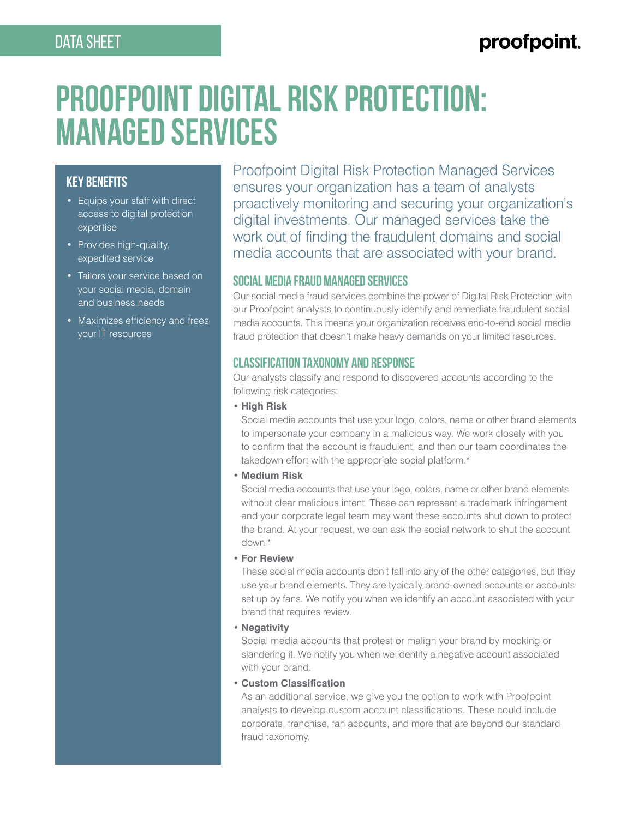# proofpoint.

# **PROOFPOINT DIGITAL RISK PROTECTION: MANAGED SERVICES**

# **KEY BENEFITS**

- Equips your staff with direct access to digital protection expertise
- Provides high-quality, expedited service
- Tailors your service based on your social media, domain and business needs
- Maximizes efficiency and frees your IT resources

Proofpoint Digital Risk Protection Managed Services ensures your organization has a team of analysts proactively monitoring and securing your organization's digital investments. Our managed services take the work out of finding the fraudulent domains and social media accounts that are associated with your brand.

# **Social Media Fraud Managed Services**

Our social media fraud services combine the power of Digital Risk Protection with our Proofpoint analysts to continuously identify and remediate fraudulent social media accounts. This means your organization receives end-to-end social media fraud protection that doesn't make heavy demands on your limited resources.

# **Classification Taxonomy and Response**

Our analysts classify and respond to discovered accounts according to the following risk categories:

#### • **High Risk**

Social media accounts that use your logo, colors, name or other brand elements to impersonate your company in a malicious way. We work closely with you to confirm that the account is fraudulent, and then our team coordinates the takedown effort with the appropriate social platform.\*

#### • **Medium Risk**

Social media accounts that use your logo, colors, name or other brand elements without clear malicious intent. These can represent a trademark infringement and your corporate legal team may want these accounts shut down to protect the brand. At your request, we can ask the social network to shut the account down.\*

#### • **For Review**

These social media accounts don't fall into any of the other categories, but they use your brand elements. They are typically brand-owned accounts or accounts set up by fans. We notify you when we identify an account associated with your brand that requires review.

#### • **Negativity**

Social media accounts that protest or malign your brand by mocking or slandering it. We notify you when we identify a negative account associated with your brand.

#### • **Custom Classification**

As an additional service, we give you the option to work with Proofpoint analysts to develop custom account classifications. These could include corporate, franchise, fan accounts, and more that are beyond our standard fraud taxonomy.